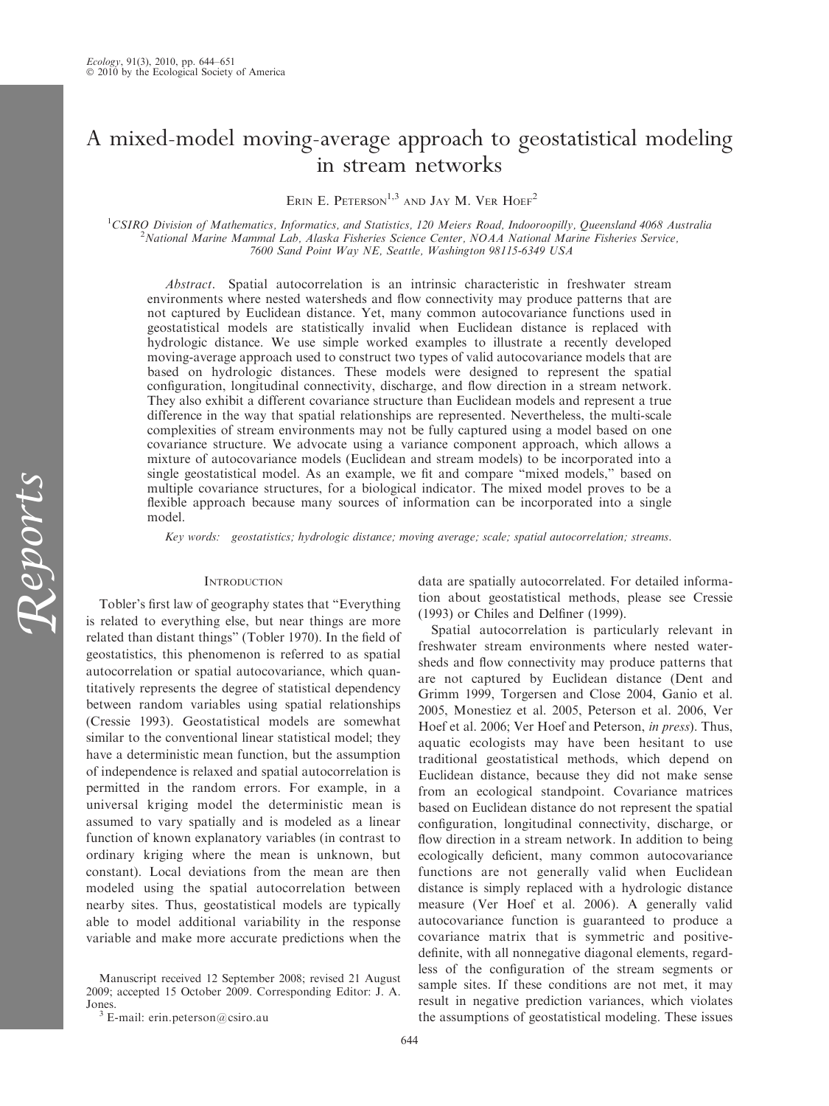# A mixed-model moving-average approach to geostatistical modeling in stream networks

ERIN E. PETERSON<sup>1,3</sup> AND JAY M. VER  $H$ OEF<sup>2</sup>

<sup>1</sup>CSIRO Division of Mathematics, Informatics, and Statistics, 120 Meiers Road, Indooroopilly, Queensland 4068 Australia <sup>2</sup> National Marine Manmal Lab Alaska Eisberies Scippe Canter. NO 4.4 National Marine Eisberies Servi <sup>2</sup>National Marine Mammal Lab, Alaska Fisheries Science Center, NOAA National Marine Fisheries Service, 7600 Sand Point Way NE, Seattle, Washington 98115-6349 USA

Abstract. Spatial autocorrelation is an intrinsic characteristic in freshwater stream environments where nested watersheds and flow connectivity may produce patterns that are not captured by Euclidean distance. Yet, many common autocovariance functions used in geostatistical models are statistically invalid when Euclidean distance is replaced with hydrologic distance. We use simple worked examples to illustrate a recently developed moving-average approach used to construct two types of valid autocovariance models that are based on hydrologic distances. These models were designed to represent the spatial configuration, longitudinal connectivity, discharge, and flow direction in a stream network. They also exhibit a different covariance structure than Euclidean models and represent a true difference in the way that spatial relationships are represented. Nevertheless, the multi-scale complexities of stream environments may not be fully captured using a model based on one covariance structure. We advocate using a variance component approach, which allows a mixture of autocovariance models (Euclidean and stream models) to be incorporated into a single geostatistical model. As an example, we fit and compare ''mixed models,'' based on multiple covariance structures, for a biological indicator. The mixed model proves to be a flexible approach because many sources of information can be incorporated into a single model.

Key words: geostatistics; hydrologic distance; moving average; scale; spatial autocorrelation; streams.

## **INTRODUCTION**

Tobler's first law of geography states that ''Everything is related to everything else, but near things are more related than distant things'' (Tobler 1970). In the field of geostatistics, this phenomenon is referred to as spatial autocorrelation or spatial autocovariance, which quantitatively represents the degree of statistical dependency between random variables using spatial relationships (Cressie 1993). Geostatistical models are somewhat similar to the conventional linear statistical model; they have a deterministic mean function, but the assumption of independence is relaxed and spatial autocorrelation is permitted in the random errors. For example, in a universal kriging model the deterministic mean is assumed to vary spatially and is modeled as a linear function of known explanatory variables (in contrast to ordinary kriging where the mean is unknown, but constant). Local deviations from the mean are then modeled using the spatial autocorrelation between nearby sites. Thus, geostatistical models are typically able to model additional variability in the response variable and make more accurate predictions when the

Manuscript received 12 September 2008; revised 21 August 2009; accepted 15 October 2009. Corresponding Editor: J. A. Jones.<br><sup>3</sup> E-mail: erin.peterson@csiro.au

data are spatially autocorrelated. For detailed information about geostatistical methods, please see Cressie (1993) or Chiles and Delfiner (1999).

Spatial autocorrelation is particularly relevant in freshwater stream environments where nested watersheds and flow connectivity may produce patterns that are not captured by Euclidean distance (Dent and Grimm 1999, Torgersen and Close 2004, Ganio et al. 2005, Monestiez et al. 2005, Peterson et al. 2006, Ver Hoef et al. 2006; Ver Hoef and Peterson, in press). Thus, aquatic ecologists may have been hesitant to use traditional geostatistical methods, which depend on Euclidean distance, because they did not make sense from an ecological standpoint. Covariance matrices based on Euclidean distance do not represent the spatial configuration, longitudinal connectivity, discharge, or flow direction in a stream network. In addition to being ecologically deficient, many common autocovariance functions are not generally valid when Euclidean distance is simply replaced with a hydrologic distance measure (Ver Hoef et al. 2006). A generally valid autocovariance function is guaranteed to produce a covariance matrix that is symmetric and positivedefinite, with all nonnegative diagonal elements, regardless of the configuration of the stream segments or sample sites. If these conditions are not met, it may result in negative prediction variances, which violates the assumptions of geostatistical modeling. These issues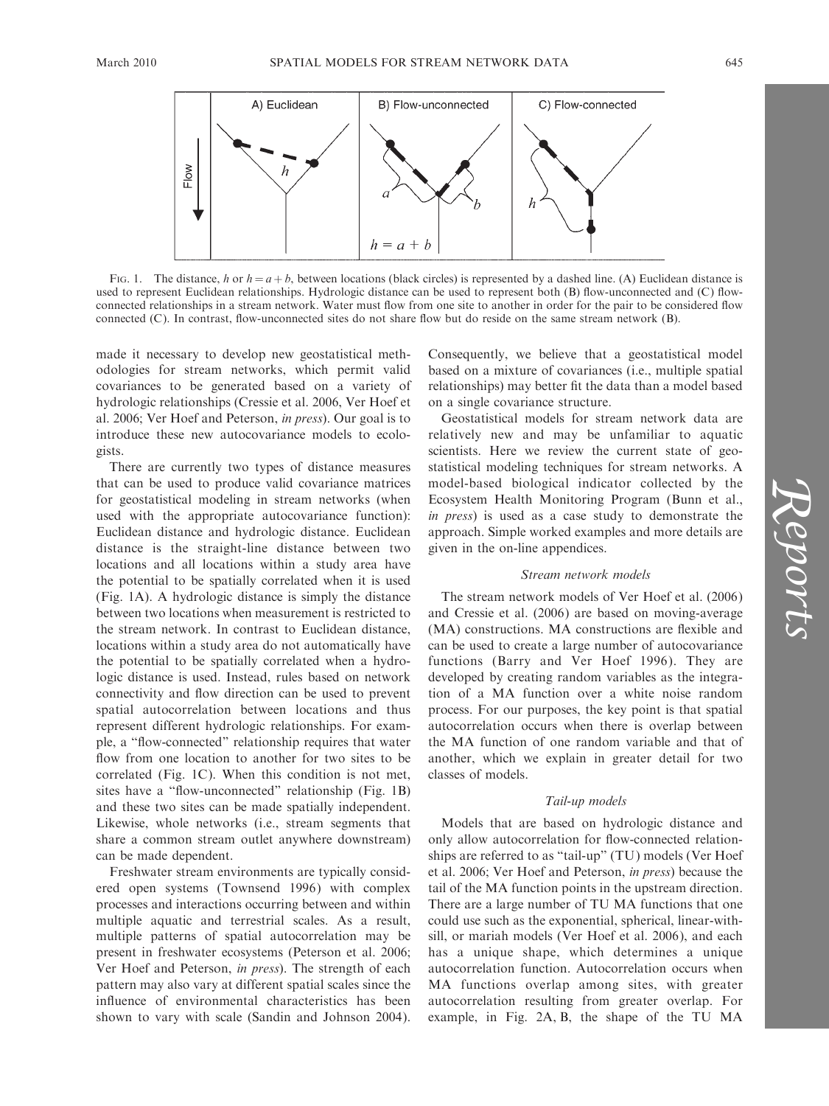

FIG. 1. The distance, h or  $h = a + b$ , between locations (black circles) is represented by a dashed line. (A) Euclidean distance is used to represent Euclidean relationships. Hydrologic distance can be used to represent both (B) flow-unconnected and (C) flowconnected relationships in a stream network. Water must flow from one site to another in order for the pair to be considered flow connected (C). In contrast, flow-unconnected sites do not share flow but do reside on the same stream network (B).

made it necessary to develop new geostatistical methodologies for stream networks, which permit valid covariances to be generated based on a variety of hydrologic relationships (Cressie et al. 2006, Ver Hoef et al. 2006; Ver Hoef and Peterson, in press). Our goal is to introduce these new autocovariance models to ecologists.

There are currently two types of distance measures that can be used to produce valid covariance matrices for geostatistical modeling in stream networks (when used with the appropriate autocovariance function): Euclidean distance and hydrologic distance. Euclidean distance is the straight-line distance between two locations and all locations within a study area have the potential to be spatially correlated when it is used (Fig. 1A). A hydrologic distance is simply the distance between two locations when measurement is restricted to the stream network. In contrast to Euclidean distance, locations within a study area do not automatically have the potential to be spatially correlated when a hydrologic distance is used. Instead, rules based on network connectivity and flow direction can be used to prevent spatial autocorrelation between locations and thus represent different hydrologic relationships. For example, a ''flow-connected'' relationship requires that water flow from one location to another for two sites to be correlated (Fig. 1C). When this condition is not met, sites have a ''flow-unconnected'' relationship (Fig. 1B) and these two sites can be made spatially independent. Likewise, whole networks (i.e., stream segments that share a common stream outlet anywhere downstream) can be made dependent.

Freshwater stream environments are typically considered open systems (Townsend 1996) with complex processes and interactions occurring between and within multiple aquatic and terrestrial scales. As a result, multiple patterns of spatial autocorrelation may be present in freshwater ecosystems (Peterson et al. 2006; Ver Hoef and Peterson, in press). The strength of each pattern may also vary at different spatial scales since the influence of environmental characteristics has been shown to vary with scale (Sandin and Johnson 2004). Consequently, we believe that a geostatistical model based on a mixture of covariances (i.e., multiple spatial relationships) may better fit the data than a model based on a single covariance structure.

Geostatistical models for stream network data are relatively new and may be unfamiliar to aquatic scientists. Here we review the current state of geostatistical modeling techniques for stream networks. A model-based biological indicator collected by the Ecosystem Health Monitoring Program (Bunn et al., in press) is used as a case study to demonstrate the approach. Simple worked examples and more details are given in the on-line appendices.

### Stream network models

The stream network models of Ver Hoef et al. (2006) and Cressie et al. (2006) are based on moving-average (MA) constructions. MA constructions are flexible and can be used to create a large number of autocovariance functions (Barry and Ver Hoef 1996). They are developed by creating random variables as the integration of a MA function over a white noise random process. For our purposes, the key point is that spatial autocorrelation occurs when there is overlap between the MA function of one random variable and that of another, which we explain in greater detail for two classes of models.

# Tail-up models

Models that are based on hydrologic distance and only allow autocorrelation for flow-connected relationships are referred to as "tail-up" (TU) models (Ver Hoef et al. 2006; Ver Hoef and Peterson, in press) because the tail of the MA function points in the upstream direction. There are a large number of TU MA functions that one could use such as the exponential, spherical, linear-withsill, or mariah models (Ver Hoef et al. 2006), and each has a unique shape, which determines a unique autocorrelation function. Autocorrelation occurs when MA functions overlap among sites, with greater autocorrelation resulting from greater overlap. For example, in Fig. 2A, B, the shape of the TU MA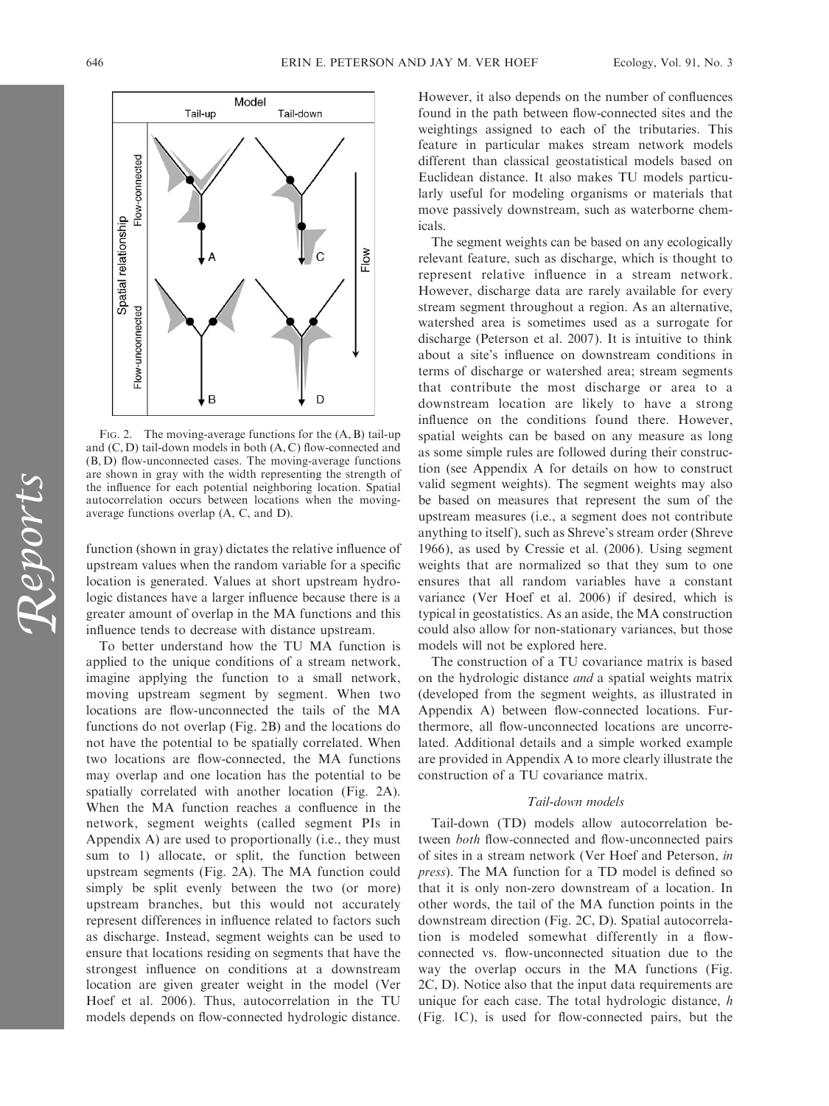

FIG. 2. The moving-average functions for the  $(A, B)$  tail-up and (C, D) tail-down models in both (A, C) flow-connected and (B, D) flow-unconnected cases. The moving-average functions are shown in gray with the width representing the strength of the influence for each potential neighboring location. Spatial autocorrelation occurs between locations when the movingaverage functions overlap (A, C, and D).

function (shown in gray) dictates the relative influence of upstream values when the random variable for a specific location is generated. Values at short upstream hydrologic distances have a larger influence because there is a greater amount of overlap in the MA functions and this influence tends to decrease with distance upstream.

To better understand how the TU MA function is applied to the unique conditions of a stream network, imagine applying the function to a small network, moving upstream segment by segment. When two locations are flow-unconnected the tails of the MA functions do not overlap (Fig. 2B) and the locations do not have the potential to be spatially correlated. When two locations are flow-connected, the MA functions may overlap and one location has the potential to be spatially correlated with another location (Fig. 2A). When the MA function reaches a confluence in the network, segment weights (called segment PIs in Appendix A) are used to proportionally (i.e., they must sum to 1) allocate, or split, the function between upstream segments (Fig. 2A). The MA function could simply be split evenly between the two (or more) upstream branches, but this would not accurately represent differences in influence related to factors such as discharge. Instead, segment weights can be used to ensure that locations residing on segments that have the strongest influence on conditions at a downstream location are given greater weight in the model (Ver Hoef et al. 2006). Thus, autocorrelation in the TU models depends on flow-connected hydrologic distance. However, it also depends on the number of confluences found in the path between flow-connected sites and the weightings assigned to each of the tributaries. This feature in particular makes stream network models different than classical geostatistical models based on Euclidean distance. It also makes TU models particularly useful for modeling organisms or materials that move passively downstream, such as waterborne chemicals.

The segment weights can be based on any ecologically relevant feature, such as discharge, which is thought to represent relative influence in a stream network. However, discharge data are rarely available for every stream segment throughout a region. As an alternative, watershed area is sometimes used as a surrogate for discharge (Peterson et al. 2007). It is intuitive to think about a site's influence on downstream conditions in terms of discharge or watershed area; stream segments that contribute the most discharge or area to a downstream location are likely to have a strong influence on the conditions found there. However, spatial weights can be based on any measure as long as some simple rules are followed during their construction (see Appendix A for details on how to construct valid segment weights). The segment weights may also be based on measures that represent the sum of the upstream measures (i.e., a segment does not contribute anything to itself ), such as Shreve's stream order (Shreve 1966), as used by Cressie et al. (2006). Using segment weights that are normalized so that they sum to one ensures that all random variables have a constant variance (Ver Hoef et al. 2006) if desired, which is typical in geostatistics. As an aside, the MA construction could also allow for non-stationary variances, but those models will not be explored here.

The construction of a TU covariance matrix is based on the hydrologic distance and a spatial weights matrix (developed from the segment weights, as illustrated in Appendix A) between flow-connected locations. Furthermore, all flow-unconnected locations are uncorrelated. Additional details and a simple worked example are provided in Appendix A to more clearly illustrate the construction of a TU covariance matrix.

## Tail-down models

Tail-down (TD) models allow autocorrelation between both flow-connected and flow-unconnected pairs of sites in a stream network (Ver Hoef and Peterson, in press). The MA function for a TD model is defined so that it is only non-zero downstream of a location. In other words, the tail of the MA function points in the downstream direction (Fig. 2C, D). Spatial autocorrelation is modeled somewhat differently in a flowconnected vs. flow-unconnected situation due to the way the overlap occurs in the MA functions (Fig. 2C, D). Notice also that the input data requirements are unique for each case. The total hydrologic distance, h (Fig. 1C), is used for flow-connected pairs, but the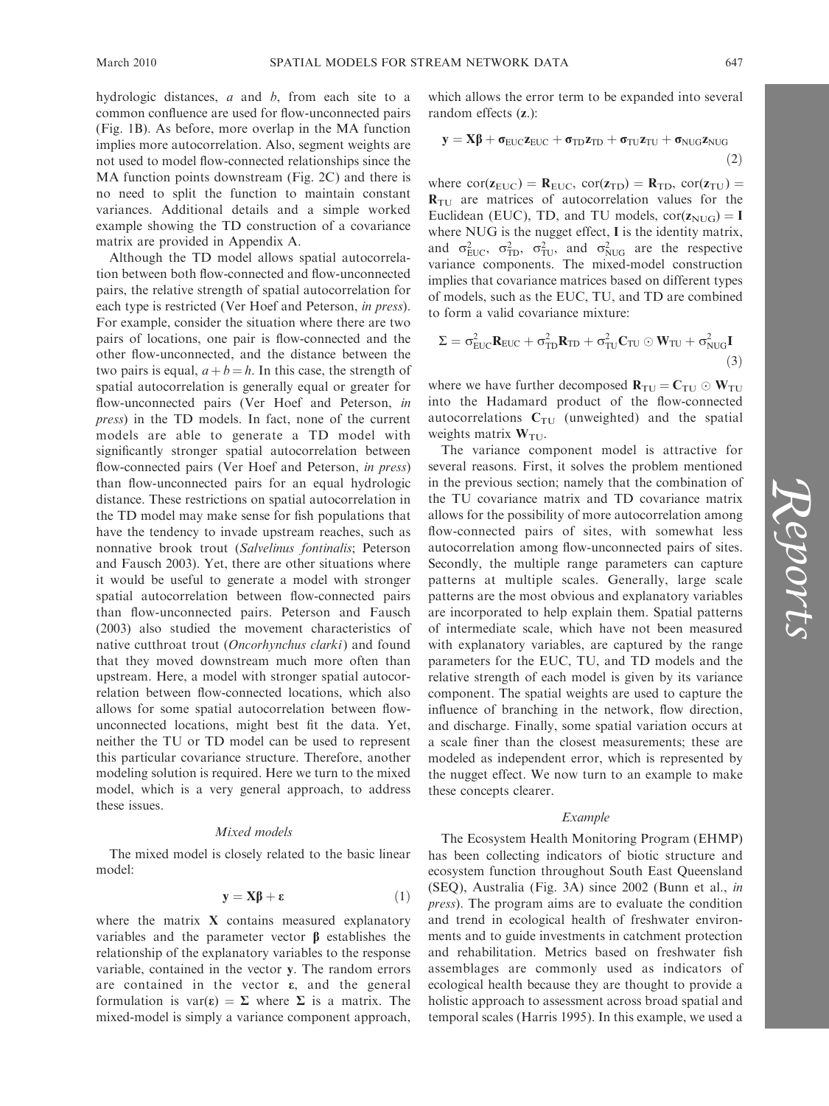hydrologic distances, a and b, from each site to a common confluence are used for flow-unconnected pairs (Fig. 1B). As before, more overlap in the MA function implies more autocorrelation. Also, segment weights are not used to model flow-connected relationships since the MA function points downstream (Fig. 2C) and there is no need to split the function to maintain constant variances. Additional details and a simple worked example showing the TD construction of a covariance matrix are provided in Appendix A.

Although the TD model allows spatial autocorrelation between both flow-connected and flow-unconnected pairs, the relative strength of spatial autocorrelation for each type is restricted (Ver Hoef and Peterson, in press). For example, consider the situation where there are two pairs of locations, one pair is flow-connected and the other flow-unconnected, and the distance between the two pairs is equal,  $a + b = h$ . In this case, the strength of spatial autocorrelation is generally equal or greater for flow-unconnected pairs (Ver Hoef and Peterson, in press) in the TD models. In fact, none of the current models are able to generate a TD model with significantly stronger spatial autocorrelation between flow-connected pairs (Ver Hoef and Peterson, in press) than flow-unconnected pairs for an equal hydrologic distance. These restrictions on spatial autocorrelation in the TD model may make sense for fish populations that have the tendency to invade upstream reaches, such as nonnative brook trout (Salvelinus fontinalis; Peterson and Fausch 2003). Yet, there are other situations where it would be useful to generate a model with stronger spatial autocorrelation between flow-connected pairs than flow-unconnected pairs. Peterson and Fausch (2003) also studied the movement characteristics of native cutthroat trout (Oncorhynchus clarki) and found that they moved downstream much more often than upstream. Here, a model with stronger spatial autocorrelation between flow-connected locations, which also allows for some spatial autocorrelation between flowunconnected locations, might best fit the data. Yet, neither the TU or TD model can be used to represent this particular covariance structure. Therefore, another modeling solution is required. Here we turn to the mixed model, which is a very general approach, to address these issues.

# Mixed models

The mixed model is closely related to the basic linear model:

$$
\mathbf{y} = \mathbf{X}\boldsymbol{\beta} + \boldsymbol{\epsilon} \tag{1}
$$

where the matrix  $X$  contains measured explanatory variables and the parameter vector  $\beta$  establishes the relationship of the explanatory variables to the response variable, contained in the vector y. The random errors are contained in the vector  $\varepsilon$ , and the general formulation is  $var(\varepsilon) = \Sigma$  where  $\Sigma$  is a matrix. The mixed-model is simply a variance component approach,

which allows the error term to be expanded into several random effects (z.):

$$
\mathbf{y} = \mathbf{X}\boldsymbol{\beta} + \sigma_{\text{EUC}}\mathbf{z}_{\text{EUC}} + \sigma_{\text{TD}}\mathbf{z}_{\text{TD}} + \sigma_{\text{TU}}\mathbf{z}_{\text{TU}} + \sigma_{\text{NUG}}\mathbf{z}_{\text{NUG}}\tag{2}
$$

where  $\text{cor}(\mathbf{z}_{\text{EUC}}) = \mathbf{R}_{\text{EUC}}$ ,  $\text{cor}(\mathbf{z}_{\text{TD}}) = \mathbf{R}_{\text{TD}}$ ,  $\text{cor}(\mathbf{z}_{\text{TU}}) =$  $R_{\text{TU}}$  are matrices of autocorrelation values for the Euclidean (EUC), TD, and TU models,  $cor(z_{NUG}) = I$ where NUG is the nugget effect, I is the identity matrix, and  $\sigma_{\text{EUC}}^2$ ,  $\sigma_{\text{TD}}^2$ ,  $\sigma_{\text{TU}}^2$ , and  $\sigma_{\text{NUG}}^2$  are the respective variance components. The mixed-model construction implies that covariance matrices based on different types of models, such as the EUC, TU, and TD are combined to form a valid covariance mixture:

$$
\Sigma = \sigma_{EUC}^2 \mathbf{R}_{EUC} + \sigma_{TD}^2 \mathbf{R}_{TD} + \sigma_{TU}^2 \mathbf{C}_{TU} \odot \mathbf{W}_{TU} + \sigma_{NUG}^2 \mathbf{I}
$$
\n(3)

where we have further decomposed  $\mathbf{R}_{\text{TU}} = \mathbf{C}_{\text{TU}} \odot \mathbf{W}_{\text{TU}}$ into the Hadamard product of the flow-connected autocorrelations  $C_{\text{TU}}$  (unweighted) and the spatial weights matrix  $W_{\text{TL}}$ .

The variance component model is attractive for several reasons. First, it solves the problem mentioned in the previous section; namely that the combination of the TU covariance matrix and TD covariance matrix allows for the possibility of more autocorrelation among flow-connected pairs of sites, with somewhat less autocorrelation among flow-unconnected pairs of sites. Secondly, the multiple range parameters can capture patterns at multiple scales. Generally, large scale patterns are the most obvious and explanatory variables are incorporated to help explain them. Spatial patterns of intermediate scale, which have not been measured with explanatory variables, are captured by the range parameters for the EUC, TU, and TD models and the relative strength of each model is given by its variance component. The spatial weights are used to capture the influence of branching in the network, flow direction, and discharge. Finally, some spatial variation occurs at a scale finer than the closest measurements; these are modeled as independent error, which is represented by the nugget effect. We now turn to an example to make these concepts clearer.

## Example

The Ecosystem Health Monitoring Program (EHMP) has been collecting indicators of biotic structure and ecosystem function throughout South East Queensland (SEQ), Australia (Fig. 3A) since 2002 (Bunn et al., in press). The program aims are to evaluate the condition and trend in ecological health of freshwater environments and to guide investments in catchment protection and rehabilitation. Metrics based on freshwater fish assemblages are commonly used as indicators of ecological health because they are thought to provide a holistic approach to assessment across broad spatial and temporal scales (Harris 1995). In this example, we used a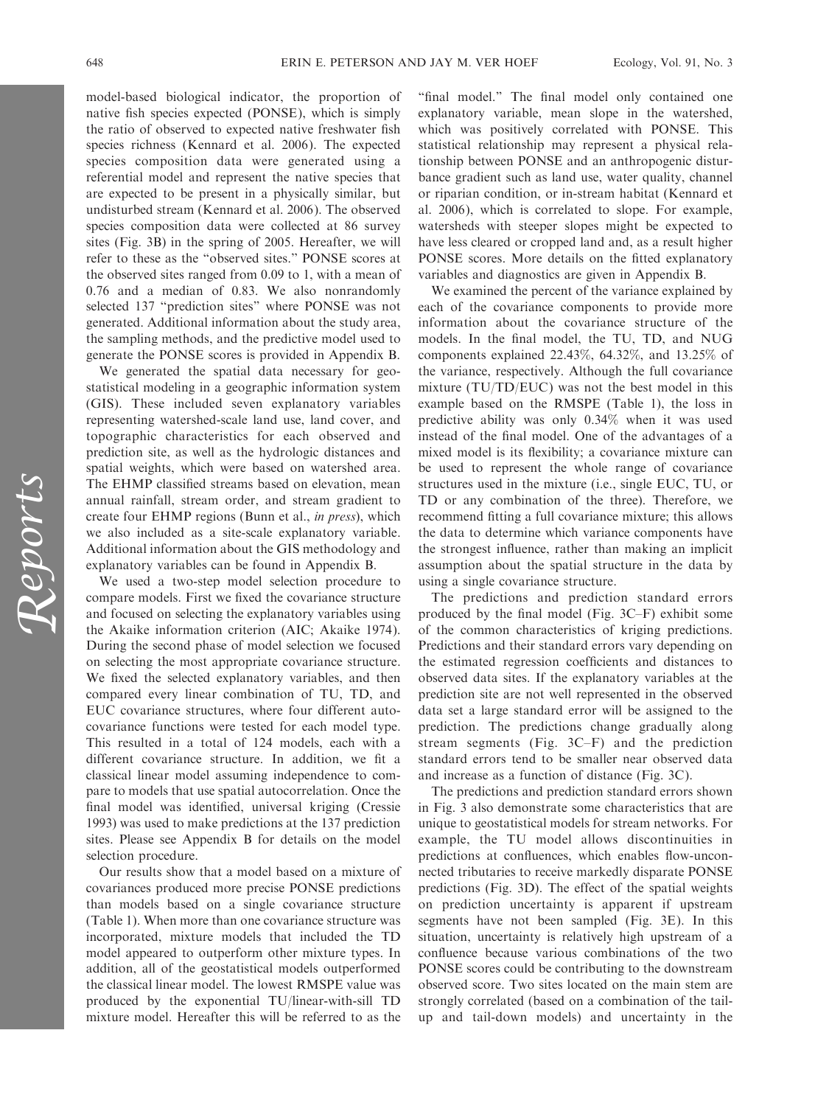model-based biological indicator, the proportion of native fish species expected (PONSE), which is simply the ratio of observed to expected native freshwater fish species richness (Kennard et al. 2006). The expected species composition data were generated using a referential model and represent the native species that are expected to be present in a physically similar, but undisturbed stream (Kennard et al. 2006). The observed species composition data were collected at 86 survey sites (Fig. 3B) in the spring of 2005. Hereafter, we will refer to these as the ''observed sites.'' PONSE scores at the observed sites ranged from 0.09 to 1, with a mean of 0.76 and a median of 0.83. We also nonrandomly selected 137 ''prediction sites'' where PONSE was not generated. Additional information about the study area, the sampling methods, and the predictive model used to generate the PONSE scores is provided in Appendix B.

We generated the spatial data necessary for geostatistical modeling in a geographic information system (GIS). These included seven explanatory variables representing watershed-scale land use, land cover, and topographic characteristics for each observed and prediction site, as well as the hydrologic distances and spatial weights, which were based on watershed area. The EHMP classified streams based on elevation, mean annual rainfall, stream order, and stream gradient to create four EHMP regions (Bunn et al., in press), which we also included as a site-scale explanatory variable. Additional information about the GIS methodology and explanatory variables can be found in Appendix B.

We used a two-step model selection procedure to compare models. First we fixed the covariance structure and focused on selecting the explanatory variables using the Akaike information criterion (AIC; Akaike 1974). During the second phase of model selection we focused on selecting the most appropriate covariance structure. We fixed the selected explanatory variables, and then compared every linear combination of TU, TD, and EUC covariance structures, where four different autocovariance functions were tested for each model type. This resulted in a total of 124 models, each with a different covariance structure. In addition, we fit a classical linear model assuming independence to compare to models that use spatial autocorrelation. Once the final model was identified, universal kriging (Cressie 1993) was used to make predictions at the 137 prediction sites. Please see Appendix B for details on the model selection procedure.

Our results show that a model based on a mixture of covariances produced more precise PONSE predictions than models based on a single covariance structure (Table 1). When more than one covariance structure was incorporated, mixture models that included the TD model appeared to outperform other mixture types. In addition, all of the geostatistical models outperformed the classical linear model. The lowest RMSPE value was produced by the exponential TU/linear-with-sill TD mixture model. Hereafter this will be referred to as the

"final model." The final model only contained one explanatory variable, mean slope in the watershed, which was positively correlated with PONSE. This statistical relationship may represent a physical relationship between PONSE and an anthropogenic disturbance gradient such as land use, water quality, channel or riparian condition, or in-stream habitat (Kennard et al. 2006), which is correlated to slope. For example, watersheds with steeper slopes might be expected to have less cleared or cropped land and, as a result higher PONSE scores. More details on the fitted explanatory variables and diagnostics are given in Appendix B.

We examined the percent of the variance explained by each of the covariance components to provide more information about the covariance structure of the models. In the final model, the TU, TD, and NUG components explained 22.43%, 64.32%, and 13.25% of the variance, respectively. Although the full covariance mixture (TU/TD/EUC) was not the best model in this example based on the RMSPE (Table 1), the loss in predictive ability was only 0.34% when it was used instead of the final model. One of the advantages of a mixed model is its flexibility; a covariance mixture can be used to represent the whole range of covariance structures used in the mixture (i.e., single EUC, TU, or TD or any combination of the three). Therefore, we recommend fitting a full covariance mixture; this allows the data to determine which variance components have the strongest influence, rather than making an implicit assumption about the spatial structure in the data by using a single covariance structure.

The predictions and prediction standard errors produced by the final model (Fig. 3C–F) exhibit some of the common characteristics of kriging predictions. Predictions and their standard errors vary depending on the estimated regression coefficients and distances to observed data sites. If the explanatory variables at the prediction site are not well represented in the observed data set a large standard error will be assigned to the prediction. The predictions change gradually along stream segments (Fig. 3C–F) and the prediction standard errors tend to be smaller near observed data and increase as a function of distance (Fig. 3C).

The predictions and prediction standard errors shown in Fig. 3 also demonstrate some characteristics that are unique to geostatistical models for stream networks. For example, the TU model allows discontinuities in predictions at confluences, which enables flow-unconnected tributaries to receive markedly disparate PONSE predictions (Fig. 3D). The effect of the spatial weights on prediction uncertainty is apparent if upstream segments have not been sampled (Fig. 3E). In this situation, uncertainty is relatively high upstream of a confluence because various combinations of the two PONSE scores could be contributing to the downstream observed score. Two sites located on the main stem are strongly correlated (based on a combination of the tailup and tail-down models) and uncertainty in the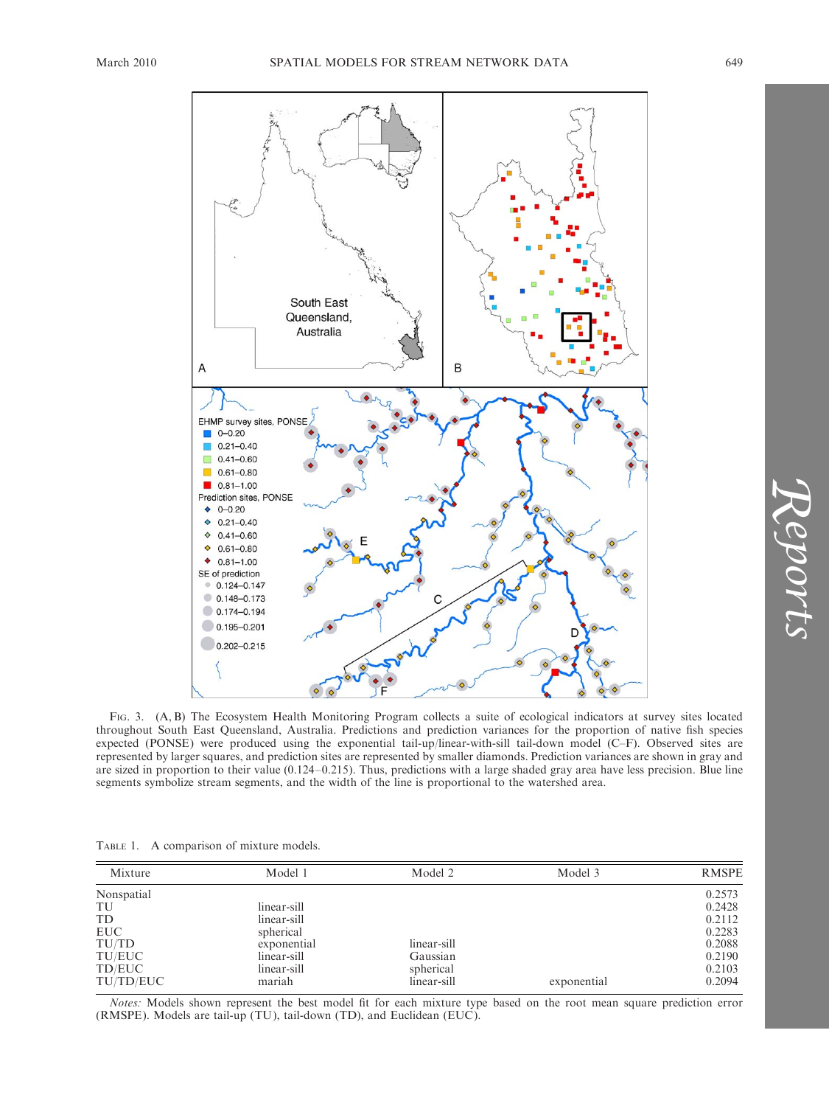

Reports

FIG. 3. (A, B) The Ecosystem Health Monitoring Program collects a suite of ecological indicators at survey sites located throughout South East Queensland, Australia. Predictions and prediction variances for the proportion of native fish species expected (PONSE) were produced using the exponential tail-up/linear-with-sill tail-down model (C–F). Observed sites are represented by larger squares, and prediction sites are represented by smaller diamonds. Prediction variances are shown in gray and are sized in proportion to their value (0.124–0.215). Thus, predictions with a large shaded gray area have less precision. Blue line segments symbolize stream segments, and the width of the line is proportional to the watershed area.

| TABLE 1. |  |  | A comparison of mixture models. |  |
|----------|--|--|---------------------------------|--|
|          |  |  |                                 |  |

| Mixture    | Model 1     | Model 2     | Model 3     | <b>RMSPE</b> |
|------------|-------------|-------------|-------------|--------------|
| Nonspatial |             |             |             | 0.2573       |
| TU         | linear-sill |             |             | 0.2428       |
| TD         | linear-sill |             |             | 0.2112       |
| <b>EUC</b> | spherical   |             |             | 0.2283       |
| TU/TD      | exponential | linear-sill |             | 0.2088       |
| TU/EUC     | linear-sill | Gaussian    |             | 0.2190       |
| TD/EUC     | linear-sill | spherical   |             | 0.2103       |
| TU/TD/EUC  | mariah      | linear-sill | exponential | 0.2094       |

Notes: Models shown represent the best model fit for each mixture type based on the root mean square prediction error (RMSPE). Models are tail-up (TU), tail-down (TD), and Euclidean (EUC).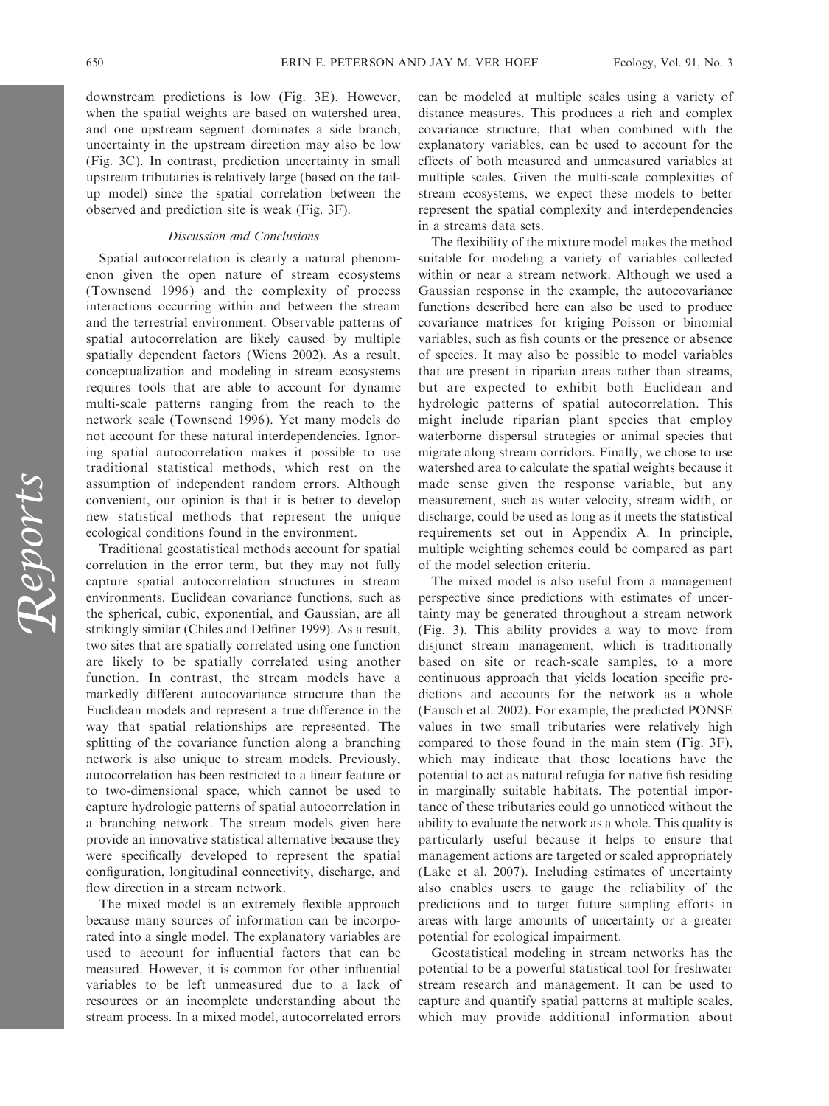downstream predictions is low (Fig. 3E). However, when the spatial weights are based on watershed area, and one upstream segment dominates a side branch, uncertainty in the upstream direction may also be low (Fig. 3C). In contrast, prediction uncertainty in small upstream tributaries is relatively large (based on the tailup model) since the spatial correlation between the observed and prediction site is weak (Fig. 3F).

## Discussion and Conclusions

Spatial autocorrelation is clearly a natural phenomenon given the open nature of stream ecosystems (Townsend 1996) and the complexity of process interactions occurring within and between the stream and the terrestrial environment. Observable patterns of spatial autocorrelation are likely caused by multiple spatially dependent factors (Wiens 2002). As a result, conceptualization and modeling in stream ecosystems requires tools that are able to account for dynamic multi-scale patterns ranging from the reach to the network scale (Townsend 1996). Yet many models do not account for these natural interdependencies. Ignoring spatial autocorrelation makes it possible to use traditional statistical methods, which rest on the assumption of independent random errors. Although convenient, our opinion is that it is better to develop new statistical methods that represent the unique ecological conditions found in the environment.

Traditional geostatistical methods account for spatial correlation in the error term, but they may not fully capture spatial autocorrelation structures in stream environments. Euclidean covariance functions, such as the spherical, cubic, exponential, and Gaussian, are all strikingly similar (Chiles and Delfiner 1999). As a result, two sites that are spatially correlated using one function are likely to be spatially correlated using another function. In contrast, the stream models have a markedly different autocovariance structure than the Euclidean models and represent a true difference in the way that spatial relationships are represented. The splitting of the covariance function along a branching network is also unique to stream models. Previously, autocorrelation has been restricted to a linear feature or to two-dimensional space, which cannot be used to capture hydrologic patterns of spatial autocorrelation in a branching network. The stream models given here provide an innovative statistical alternative because they were specifically developed to represent the spatial configuration, longitudinal connectivity, discharge, and flow direction in a stream network.

The mixed model is an extremely flexible approach because many sources of information can be incorporated into a single model. The explanatory variables are used to account for influential factors that can be measured. However, it is common for other influential variables to be left unmeasured due to a lack of resources or an incomplete understanding about the stream process. In a mixed model, autocorrelated errors

can be modeled at multiple scales using a variety of distance measures. This produces a rich and complex covariance structure, that when combined with the explanatory variables, can be used to account for the effects of both measured and unmeasured variables at multiple scales. Given the multi-scale complexities of stream ecosystems, we expect these models to better represent the spatial complexity and interdependencies in a streams data sets.

The flexibility of the mixture model makes the method suitable for modeling a variety of variables collected within or near a stream network. Although we used a Gaussian response in the example, the autocovariance functions described here can also be used to produce covariance matrices for kriging Poisson or binomial variables, such as fish counts or the presence or absence of species. It may also be possible to model variables that are present in riparian areas rather than streams, but are expected to exhibit both Euclidean and hydrologic patterns of spatial autocorrelation. This might include riparian plant species that employ waterborne dispersal strategies or animal species that migrate along stream corridors. Finally, we chose to use watershed area to calculate the spatial weights because it made sense given the response variable, but any measurement, such as water velocity, stream width, or discharge, could be used as long as it meets the statistical requirements set out in Appendix A. In principle, multiple weighting schemes could be compared as part of the model selection criteria.

The mixed model is also useful from a management perspective since predictions with estimates of uncertainty may be generated throughout a stream network (Fig. 3). This ability provides a way to move from disjunct stream management, which is traditionally based on site or reach-scale samples, to a more continuous approach that yields location specific predictions and accounts for the network as a whole (Fausch et al. 2002). For example, the predicted PONSE values in two small tributaries were relatively high compared to those found in the main stem (Fig. 3F), which may indicate that those locations have the potential to act as natural refugia for native fish residing in marginally suitable habitats. The potential importance of these tributaries could go unnoticed without the ability to evaluate the network as a whole. This quality is particularly useful because it helps to ensure that management actions are targeted or scaled appropriately (Lake et al. 2007). Including estimates of uncertainty also enables users to gauge the reliability of the predictions and to target future sampling efforts in areas with large amounts of uncertainty or a greater potential for ecological impairment.

Geostatistical modeling in stream networks has the potential to be a powerful statistical tool for freshwater stream research and management. It can be used to capture and quantify spatial patterns at multiple scales, which may provide additional information about